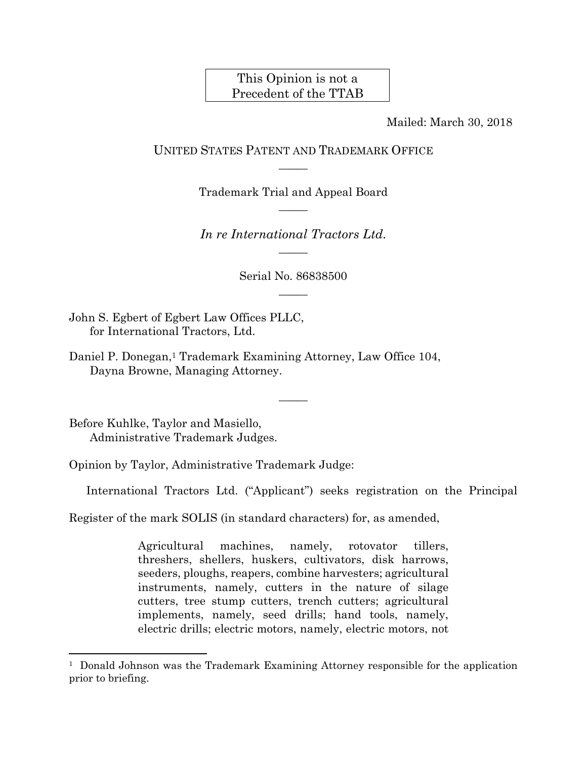# This Opinion is not a Precedent of the TTAB

Mailed: March 30, 2018

# UNITED STATES PATENT AND TRADEMARK OFFICE  $\overline{\phantom{a}}$

Trademark Trial and Appeal Board  $\overline{\phantom{a}}$ 

*In re International Tractors Ltd.*   $\overline{\phantom{a}}$ 

> Serial No. 86838500  $\overline{\phantom{a}}$

> > $\overline{\phantom{a}}$

John S. Egbert of Egbert Law Offices PLLC, for International Tractors, Ltd.

Daniel P. Donegan,<sup>1</sup> Trademark Examining Attorney, Law Office 104, Dayna Browne, Managing Attorney.

Before Kuhlke, Taylor and Masiello, Administrative Trademark Judges.

1

Opinion by Taylor, Administrative Trademark Judge:

International Tractors Ltd. ("Applicant") seeks registration on the Principal

Register of the mark SOLIS (in standard characters) for, as amended,

Agricultural machines, namely, rotovator tillers, threshers, shellers, huskers, cultivators, disk harrows, seeders, ploughs, reapers, combine harvesters; agricultural instruments, namely, cutters in the nature of silage cutters, tree stump cutters, trench cutters; agricultural implements, namely, seed drills; hand tools, namely, electric drills; electric motors, namely, electric motors, not

<sup>1</sup> Donald Johnson was the Trademark Examining Attorney responsible for the application prior to briefing.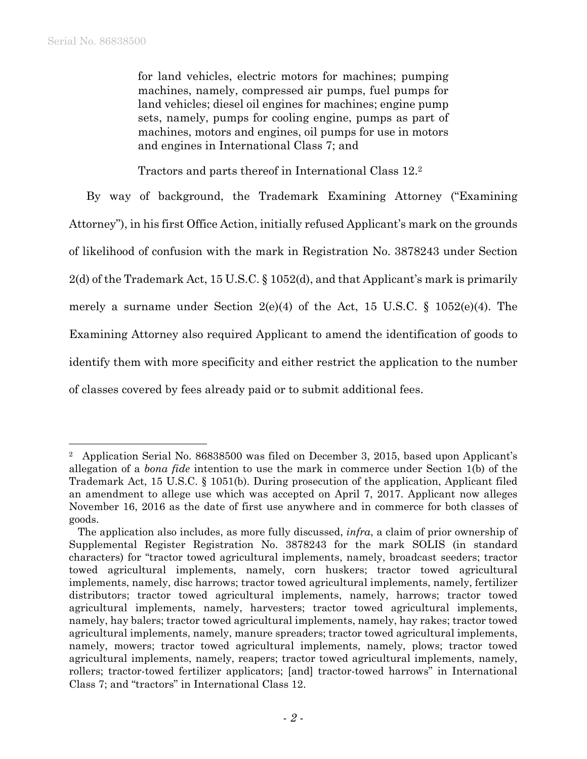for land vehicles, electric motors for machines; pumping machines, namely, compressed air pumps, fuel pumps for land vehicles; diesel oil engines for machines; engine pump sets, namely, pumps for cooling engine, pumps as part of machines, motors and engines, oil pumps for use in motors and engines in International Class 7; and

Tractors and parts thereof in International Class 12.2

By way of background, the Trademark Examining Attorney ("Examining Attorney"), in his first Office Action, initially refused Applicant's mark on the grounds of likelihood of confusion with the mark in Registration No. 3878243 under Section 2(d) of the Trademark Act, 15 U.S.C. § 1052(d), and that Applicant's mark is primarily merely a surname under Section  $2(e)(4)$  of the Act, 15 U.S.C. § 1052(e)(4). The Examining Attorney also required Applicant to amend the identification of goods to identify them with more specificity and either restrict the application to the number of classes covered by fees already paid or to submit additional fees.

<sup>2</sup> Application Serial No. 86838500 was filed on December 3, 2015, based upon Applicant's allegation of a *bona fide* intention to use the mark in commerce under Section 1(b) of the Trademark Act, 15 U.S.C. § 1051(b). During prosecution of the application, Applicant filed an amendment to allege use which was accepted on April 7, 2017. Applicant now alleges November 16, 2016 as the date of first use anywhere and in commerce for both classes of goods.

The application also includes, as more fully discussed, *infra*, a claim of prior ownership of Supplemental Register Registration No. 3878243 for the mark SOLIS (in standard characters) for "tractor towed agricultural implements, namely, broadcast seeders; tractor towed agricultural implements, namely, corn huskers; tractor towed agricultural implements, namely, disc harrows; tractor towed agricultural implements, namely, fertilizer distributors; tractor towed agricultural implements, namely, harrows; tractor towed agricultural implements, namely, harvesters; tractor towed agricultural implements, namely, hay balers; tractor towed agricultural implements, namely, hay rakes; tractor towed agricultural implements, namely, manure spreaders; tractor towed agricultural implements, namely, mowers; tractor towed agricultural implements, namely, plows; tractor towed agricultural implements, namely, reapers; tractor towed agricultural implements, namely, rollers; tractor-towed fertilizer applicators; [and] tractor-towed harrows" in International Class 7; and "tractors" in International Class 12.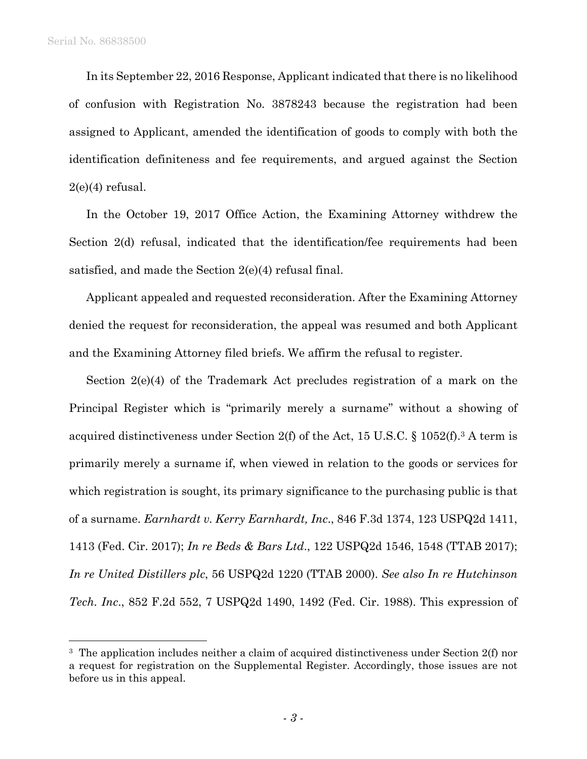In its September 22, 2016 Response, Applicant indicated that there is no likelihood of confusion with Registration No. 3878243 because the registration had been assigned to Applicant, amended the identification of goods to comply with both the identification definiteness and fee requirements, and argued against the Section  $2(e)(4)$  refusal.

In the October 19, 2017 Office Action, the Examining Attorney withdrew the Section 2(d) refusal, indicated that the identification/fee requirements had been satisfied, and made the Section 2(e)(4) refusal final.

Applicant appealed and requested reconsideration. After the Examining Attorney denied the request for reconsideration, the appeal was resumed and both Applicant and the Examining Attorney filed briefs. We affirm the refusal to register.

Section 2(e)(4) of the Trademark Act precludes registration of a mark on the Principal Register which is "primarily merely a surname" without a showing of acquired distinctiveness under Section 2(f) of the Act, 15 U.S.C.  $\S$  1052(f).<sup>3</sup> A term is primarily merely a surname if, when viewed in relation to the goods or services for which registration is sought, its primary significance to the purchasing public is that of a surname. *Earnhardt v. Kerry Earnhardt, Inc*., 846 F.3d 1374, 123 USPQ2d 1411, 1413 (Fed. Cir. 2017); *In re Beds & Bars Ltd*., 122 USPQ2d 1546, 1548 (TTAB 2017); *In re United Distillers plc*, 56 USPQ2d 1220 (TTAB 2000). *See also In re Hutchinson Tech. Inc*., 852 F.2d 552, 7 USPQ2d 1490, 1492 (Fed. Cir. 1988). This expression of

<sup>&</sup>lt;sup>3</sup> The application includes neither a claim of acquired distinctiveness under Section 2(f) nor a request for registration on the Supplemental Register. Accordingly, those issues are not before us in this appeal.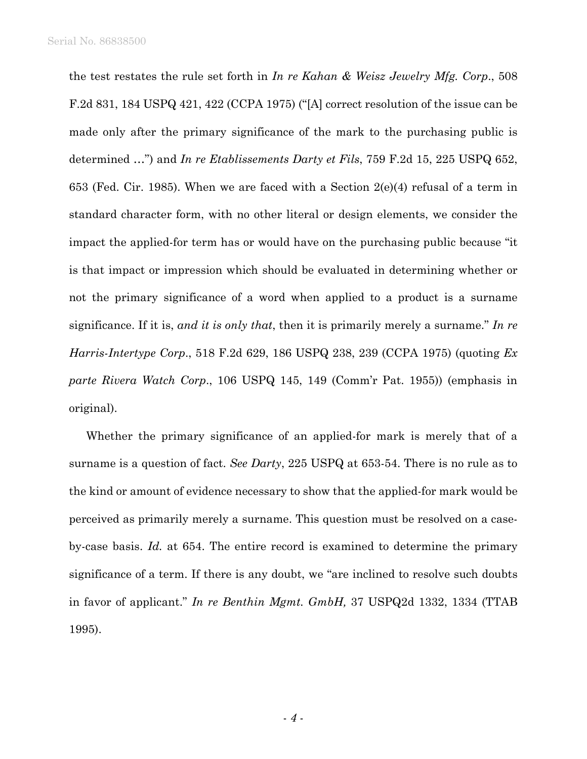the test restates the rule set forth in *In re Kahan & Weisz Jewelry Mfg. Corp*., 508 F.2d 831, 184 USPQ 421, 422 (CCPA 1975) ("[A] correct resolution of the issue can be made only after the primary significance of the mark to the purchasing public is determined …") and *In re Etablissements Darty et Fils*, 759 F.2d 15, 225 USPQ 652, 653 (Fed. Cir. 1985). When we are faced with a Section  $2(e)(4)$  refusal of a term in standard character form, with no other literal or design elements, we consider the impact the applied-for term has or would have on the purchasing public because "it is that impact or impression which should be evaluated in determining whether or not the primary significance of a word when applied to a product is a surname significance. If it is, *and it is only that*, then it is primarily merely a surname." *In re Harris-Intertype Corp*., 518 F.2d 629, 186 USPQ 238, 239 (CCPA 1975) (quoting *Ex parte Rivera Watch Corp*., 106 USPQ 145, 149 (Comm'r Pat. 1955)) (emphasis in original).

Whether the primary significance of an applied-for mark is merely that of a surname is a question of fact. *See Darty*, 225 USPQ at 653-54. There is no rule as to the kind or amount of evidence necessary to show that the applied-for mark would be perceived as primarily merely a surname. This question must be resolved on a caseby-case basis. *Id.* at 654. The entire record is examined to determine the primary significance of a term. If there is any doubt, we "are inclined to resolve such doubts in favor of applicant." *In re Benthin Mgmt. GmbH,* 37 USPQ2d 1332, 1334 (TTAB 1995).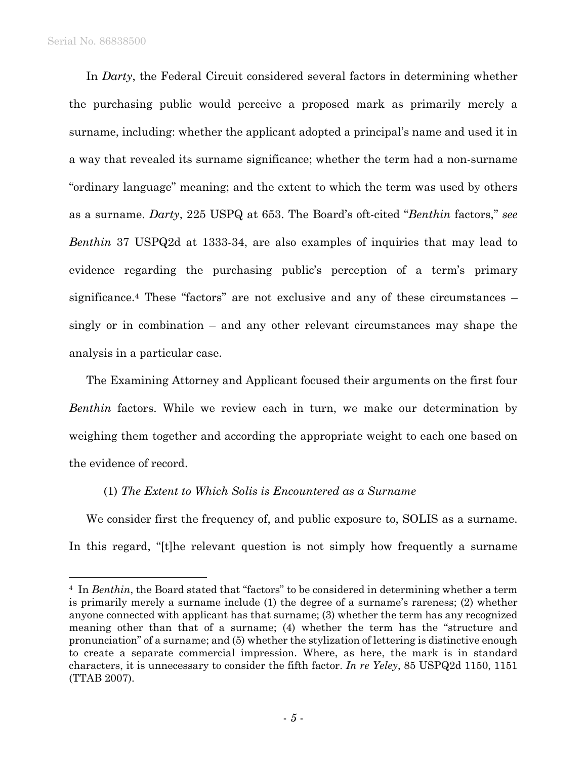1

In *Darty*, the Federal Circuit considered several factors in determining whether the purchasing public would perceive a proposed mark as primarily merely a surname, including: whether the applicant adopted a principal's name and used it in a way that revealed its surname significance; whether the term had a non-surname "ordinary language" meaning; and the extent to which the term was used by others as a surname. *Darty*, 225 USPQ at 653. The Board's oft-cited "*Benthin* factors," *see Benthin* 37 USPQ2d at 1333-34, are also examples of inquiries that may lead to evidence regarding the purchasing public's perception of a term's primary significance.4 These "factors" are not exclusive and any of these circumstances – singly or in combination – and any other relevant circumstances may shape the analysis in a particular case.

The Examining Attorney and Applicant focused their arguments on the first four *Benthin* factors. While we review each in turn, we make our determination by weighing them together and according the appropriate weight to each one based on the evidence of record.

### (1) *The Extent to Which Solis is Encountered as a Surname*

We consider first the frequency of, and public exposure to, SOLIS as a surname. In this regard, "[t]he relevant question is not simply how frequently a surname

<sup>&</sup>lt;sup>4</sup> In *Benthin*, the Board stated that "factors" to be considered in determining whether a term is primarily merely a surname include (1) the degree of a surname's rareness; (2) whether anyone connected with applicant has that surname; (3) whether the term has any recognized meaning other than that of a surname; (4) whether the term has the "structure and pronunciation" of a surname; and (5) whether the stylization of lettering is distinctive enough to create a separate commercial impression. Where, as here, the mark is in standard characters, it is unnecessary to consider the fifth factor. *In re Yeley*, 85 USPQ2d 1150, 1151 (TTAB 2007).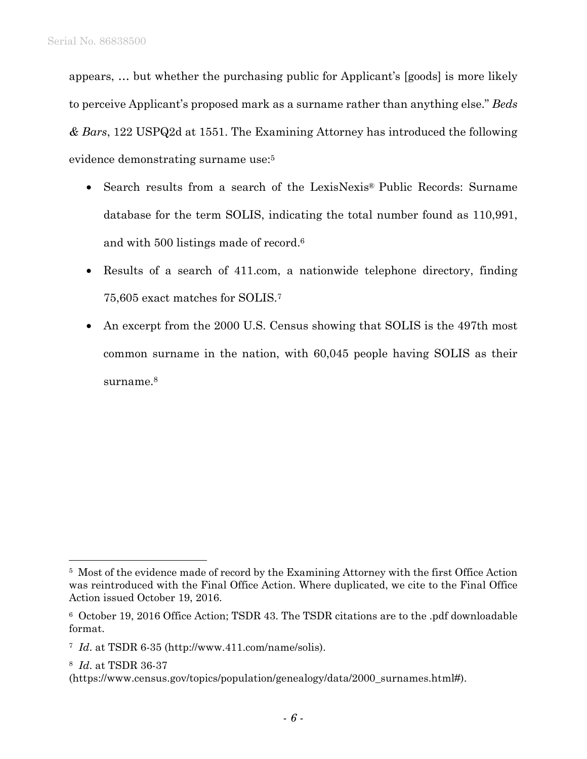appears, … but whether the purchasing public for Applicant's [goods] is more likely to perceive Applicant's proposed mark as a surname rather than anything else." *Beds & Bars*, 122 USPQ2d at 1551. The Examining Attorney has introduced the following evidence demonstrating surname use:5

- Search results from a search of the LexisNexis® Public Records: Surname database for the term SOLIS, indicating the total number found as 110,991, and with 500 listings made of record.6
- Results of a search of 411.com, a nationwide telephone directory, finding 75,605 exact matches for SOLIS.7
- An excerpt from the 2000 U.S. Census showing that SOLIS is the 497th most common surname in the nation, with 60,045 people having SOLIS as their surname.<sup>8</sup>

8 *Id*. at TSDR 36-37

<sup>5</sup> Most of the evidence made of record by the Examining Attorney with the first Office Action was reintroduced with the Final Office Action. Where duplicated, we cite to the Final Office Action issued October 19, 2016.

<sup>6</sup> October 19, 2016 Office Action; TSDR 43. The TSDR citations are to the .pdf downloadable format.

<sup>7</sup> *Id*. at TSDR 6-35 (http://www.411.com/name/solis).

<sup>(</sup>https://www.census.gov/topics/population/genealogy/data/2000\_surnames.html#).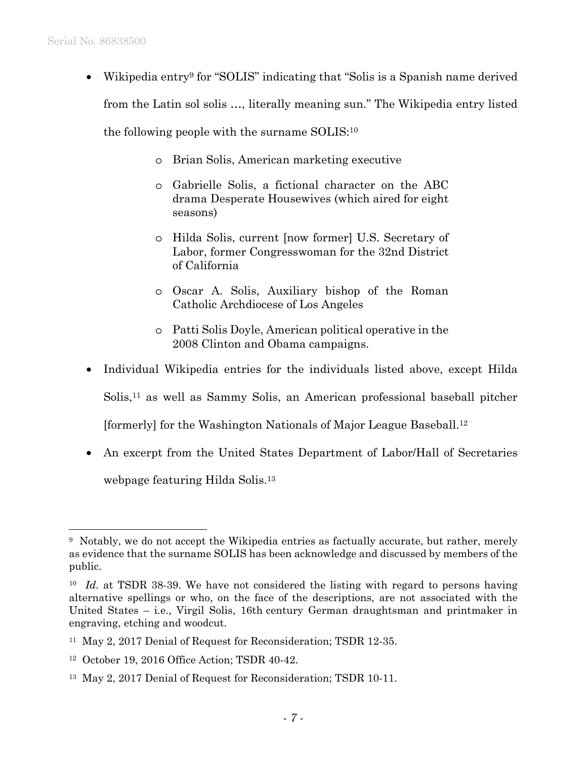• Wikipedia entry9 for "SOLIS" indicating that "Solis is a Spanish name derived from the Latin sol solis …, literally meaning sun." The Wikipedia entry listed

the following people with the surname SOLIS:10

- o Brian Solis, American marketing executive
- o Gabrielle Solis, a fictional character on the ABC drama Desperate Housewives (which aired for eight seasons)
- o Hilda Solis, current [now former] U.S. Secretary of Labor, former Congresswoman for the 32nd District of California
- o Oscar A. Solis, Auxiliary bishop of the Roman Catholic Archdiocese of Los Angeles
- o Patti Solis Doyle, American political operative in the 2008 Clinton and Obama campaigns.
- Individual Wikipedia entries for the individuals listed above, except Hilda

Solis,11 as well as Sammy Solis, an American professional baseball pitcher

[formerly] for the Washington Nationals of Major League Baseball.12

• An excerpt from the United States Department of Labor/Hall of Secretaries webpage featuring Hilda Solis.13

<sup>9</sup> Notably, we do not accept the Wikipedia entries as factually accurate, but rather, merely as evidence that the surname SOLIS has been acknowledge and discussed by members of the public.

<sup>10</sup> *Id.* at TSDR 38-39. We have not considered the listing with regard to persons having alternative spellings or who, on the face of the descriptions, are not associated with the United States – i.e., Virgil Solis, 16th century German draughtsman and printmaker in engraving, etching and woodcut.

<sup>11</sup> May 2, 2017 Denial of Request for Reconsideration; TSDR 12-35.

<sup>12</sup> October 19, 2016 Office Action; TSDR 40-42.

<sup>13</sup> May 2, 2017 Denial of Request for Reconsideration; TSDR 10-11.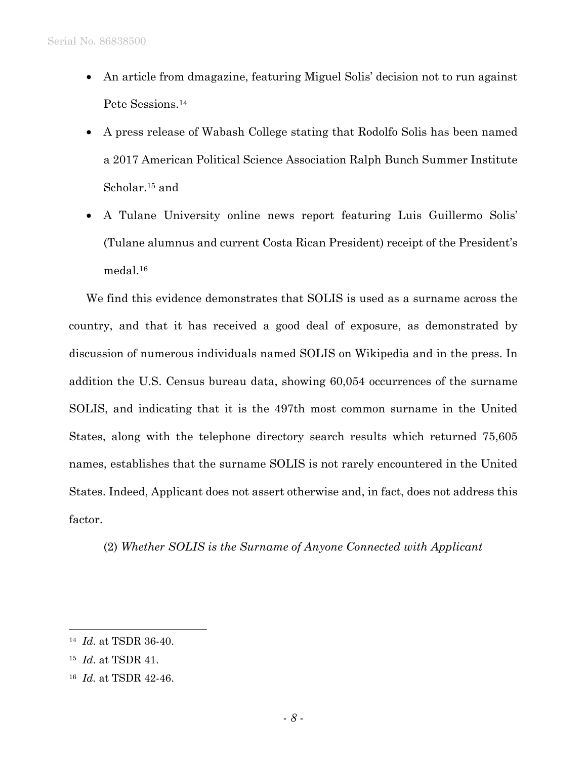- An article from dmagazine, featuring Miguel Solis' decision not to run against Pete Sessions.14
- A press release of Wabash College stating that Rodolfo Solis has been named a 2017 American Political Science Association Ralph Bunch Summer Institute Scholar.<sup>15</sup> and
- A Tulane University online news report featuring Luis Guillermo Solis' (Tulane alumnus and current Costa Rican President) receipt of the President's medal.16

We find this evidence demonstrates that SOLIS is used as a surname across the country, and that it has received a good deal of exposure, as demonstrated by discussion of numerous individuals named SOLIS on Wikipedia and in the press. In addition the U.S. Census bureau data, showing 60,054 occurrences of the surname SOLIS, and indicating that it is the 497th most common surname in the United States, along with the telephone directory search results which returned 75,605 names, establishes that the surname SOLIS is not rarely encountered in the United States. Indeed, Applicant does not assert otherwise and, in fact, does not address this factor.

(2) *Whether SOLIS is the Surname of Anyone Connected with Applicant* 

<sup>14</sup> *Id*. at TSDR 36-40.

<sup>15</sup> *Id*. at TSDR 41.

<sup>16</sup> *Id.* at TSDR 42-46.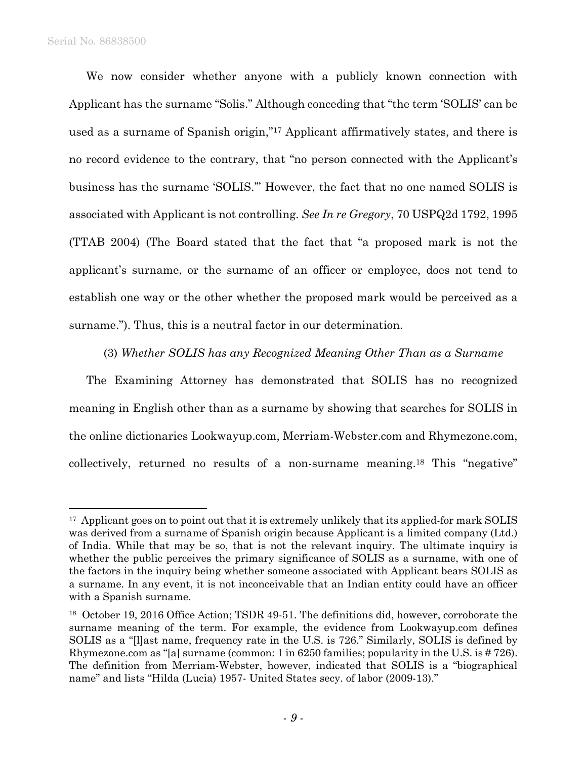We now consider whether anyone with a publicly known connection with Applicant has the surname "Solis." Although conceding that "the term 'SOLIS' can be used as a surname of Spanish origin,"17 Applicant affirmatively states, and there is no record evidence to the contrary, that "no person connected with the Applicant's business has the surname 'SOLIS.'" However, the fact that no one named SOLIS is associated with Applicant is not controlling. *See In re Gregory*, 70 USPQ2d 1792, 1995 (TTAB 2004) (The Board stated that the fact that "a proposed mark is not the applicant's surname, or the surname of an officer or employee, does not tend to establish one way or the other whether the proposed mark would be perceived as a surname."). Thus, this is a neutral factor in our determination.

(3) *Whether SOLIS has any Recognized Meaning Other Than as a Surname*

The Examining Attorney has demonstrated that SOLIS has no recognized meaning in English other than as a surname by showing that searches for SOLIS in the online dictionaries Lookwayup.com, Merriam-Webster.com and Rhymezone.com, collectively, returned no results of a non-surname meaning.18 This "negative"

<sup>&</sup>lt;sup>17</sup> Applicant goes on to point out that it is extremely unlikely that its applied-for mark SOLIS was derived from a surname of Spanish origin because Applicant is a limited company (Ltd.) of India. While that may be so, that is not the relevant inquiry. The ultimate inquiry is whether the public perceives the primary significance of SOLIS as a surname, with one of the factors in the inquiry being whether someone associated with Applicant bears SOLIS as a surname. In any event, it is not inconceivable that an Indian entity could have an officer with a Spanish surname.

<sup>&</sup>lt;sup>18</sup> October 19, 2016 Office Action; TSDR 49-51. The definitions did, however, corroborate the surname meaning of the term. For example, the evidence from Lookwayup.com defines SOLIS as a "[l]ast name, frequency rate in the U.S. is 726." Similarly, SOLIS is defined by Rhymezone.com as "[a] surname (common: 1 in 6250 families; popularity in the U.S. is # 726). The definition from Merriam-Webster, however, indicated that SOLIS is a "biographical name" and lists "Hilda (Lucia) 1957- United States secy. of labor (2009-13)."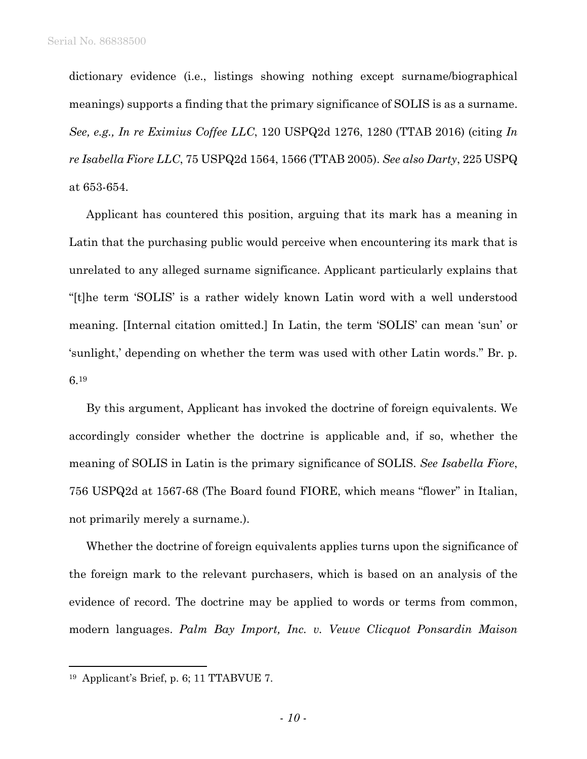dictionary evidence (i.e., listings showing nothing except surname/biographical meanings) supports a finding that the primary significance of SOLIS is as a surname. *See, e.g., In re Eximius Coffee LLC*, 120 USPQ2d 1276, 1280 (TTAB 2016) (citing *In re Isabella Fiore LLC*, 75 USPQ2d 1564, 1566 (TTAB 2005). *See also Darty*, 225 USPQ at 653-654.

Applicant has countered this position, arguing that its mark has a meaning in Latin that the purchasing public would perceive when encountering its mark that is unrelated to any alleged surname significance. Applicant particularly explains that "[t]he term 'SOLIS' is a rather widely known Latin word with a well understood meaning. [Internal citation omitted.] In Latin, the term 'SOLIS' can mean 'sun' or 'sunlight,' depending on whether the term was used with other Latin words." Br. p. 6.19

By this argument, Applicant has invoked the doctrine of foreign equivalents. We accordingly consider whether the doctrine is applicable and, if so, whether the meaning of SOLIS in Latin is the primary significance of SOLIS. *See Isabella Fiore*, 756 USPQ2d at 1567-68 (The Board found FIORE, which means "flower" in Italian, not primarily merely a surname.).

Whether the doctrine of foreign equivalents applies turns upon the significance of the foreign mark to the relevant purchasers, which is based on an analysis of the evidence of record. The doctrine may be applied to words or terms from common, modern languages. *Palm Bay Import, Inc. v. Veuve Clicquot Ponsardin Maison* 

1

<sup>19</sup> Applicant's Brief, p. 6; 11 TTABVUE 7.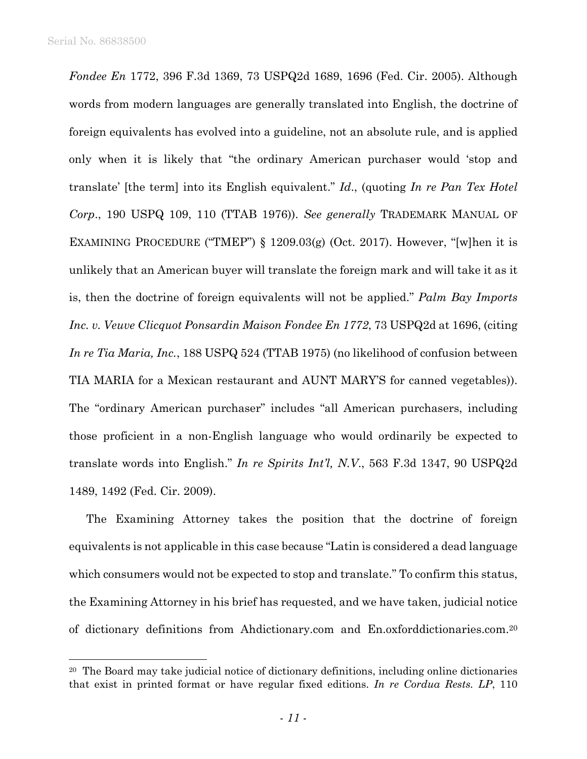1

*Fondee En* 1772, 396 F.3d 1369, 73 USPQ2d 1689, 1696 (Fed. Cir. 2005). Although words from modern languages are generally translated into English, the doctrine of foreign equivalents has evolved into a guideline, not an absolute rule, and is applied only when it is likely that "the ordinary American purchaser would 'stop and translate' [the term] into its English equivalent." *Id*., (quoting *In re Pan Tex Hotel Corp*., 190 USPQ 109, 110 (TTAB 1976)). *See generally* TRADEMARK MANUAL OF EXAMINING PROCEDURE ("TMEP")  $\S$  1209.03(g) (Oct. 2017). However, "[w]hen it is unlikely that an American buyer will translate the foreign mark and will take it as it is, then the doctrine of foreign equivalents will not be applied." *Palm Bay Imports Inc. v. Veuve Clicquot Ponsardin Maison Fondee En 1772*, 73 USPQ2d at 1696, (citing *In re Tia Maria, Inc.*, 188 USPQ 524 (TTAB 1975) (no likelihood of confusion between TIA MARIA for a Mexican restaurant and AUNT MARY'S for canned vegetables)). The "ordinary American purchaser" includes "all American purchasers, including those proficient in a non-English language who would ordinarily be expected to translate words into English." *In re Spirits Int'l, N.V*., 563 F.3d 1347, 90 USPQ2d 1489, 1492 (Fed. Cir. 2009).

The Examining Attorney takes the position that the doctrine of foreign equivalents is not applicable in this case because "Latin is considered a dead language which consumers would not be expected to stop and translate." To confirm this status, the Examining Attorney in his brief has requested, and we have taken, judicial notice of dictionary definitions from Ahdictionary.com and En.oxforddictionaries.com.20

<sup>&</sup>lt;sup>20</sup> The Board may take judicial notice of dictionary definitions, including online dictionaries that exist in printed format or have regular fixed editions. *In re Cordua Rests. LP*, 110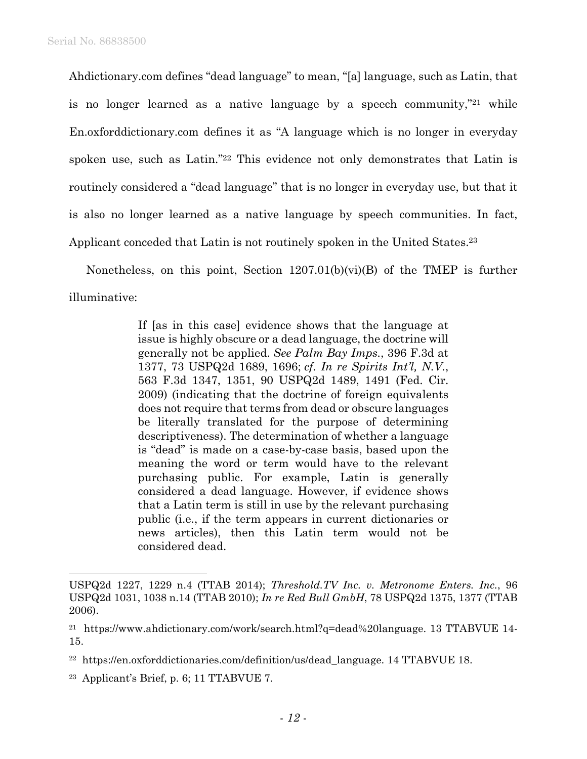Ahdictionary.com defines "dead language" to mean, "[a] language, such as Latin, that is no longer learned as a native language by a speech community,"21 while En.oxforddictionary.com defines it as "A language which is no longer in everyday spoken use, such as Latin."22 This evidence not only demonstrates that Latin is routinely considered a "dead language" that is no longer in everyday use, but that it is also no longer learned as a native language by speech communities. In fact, Applicant conceded that Latin is not routinely spoken in the United States.23

Nonetheless, on this point, Section 1207.01(b)(vi)(B) of the TMEP is further illuminative:

> If [as in this case] evidence shows that the language at issue is highly obscure or a dead language, the doctrine will generally not be applied. *See Palm Bay Imps.*, 396 F.3d at 1377, 73 USPQ2d 1689, 1696; *cf. In re Spirits Int'l, N.V.*, 563 F.3d 1347, 1351, 90 USPQ2d 1489, 1491 (Fed. Cir. 2009) (indicating that the doctrine of foreign equivalents does not require that terms from dead or obscure languages be literally translated for the purpose of determining descriptiveness). The determination of whether a language is "dead" is made on a case-by-case basis, based upon the meaning the word or term would have to the relevant purchasing public. For example, Latin is generally considered a dead language. However, if evidence shows that a Latin term is still in use by the relevant purchasing public (i.e., if the term appears in current dictionaries or news articles), then this Latin term would not be considered dead.

USPQ2d 1227, 1229 n.4 (TTAB 2014); *Threshold.TV Inc. v. Metronome Enters. Inc.*, 96 USPQ2d 1031, 1038 n.14 (TTAB 2010); *In re Red Bull GmbH*, 78 USPQ2d 1375, 1377 (TTAB 2006).

<sup>&</sup>lt;sup>21</sup> https://www.ahdictionary.com/work/search.html?q=dead%20language. 13 TTABVUE 14-15.

<sup>22</sup> https://en.oxforddictionaries.com/definition/us/dead\_language. 14 TTABVUE 18.

<sup>23</sup> Applicant's Brief, p. 6; 11 TTABVUE 7.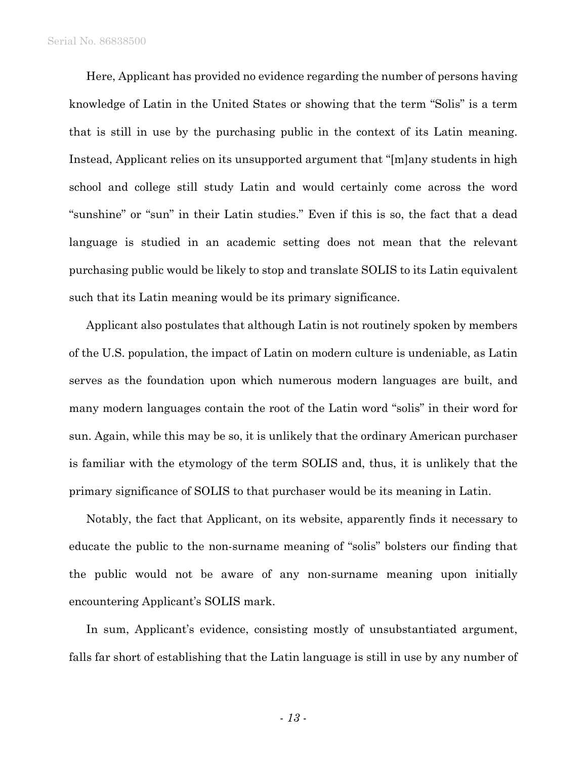Here, Applicant has provided no evidence regarding the number of persons having knowledge of Latin in the United States or showing that the term "Solis" is a term that is still in use by the purchasing public in the context of its Latin meaning. Instead, Applicant relies on its unsupported argument that "[m]any students in high school and college still study Latin and would certainly come across the word "sunshine" or "sun" in their Latin studies." Even if this is so, the fact that a dead language is studied in an academic setting does not mean that the relevant purchasing public would be likely to stop and translate SOLIS to its Latin equivalent such that its Latin meaning would be its primary significance.

Applicant also postulates that although Latin is not routinely spoken by members of the U.S. population, the impact of Latin on modern culture is undeniable, as Latin serves as the foundation upon which numerous modern languages are built, and many modern languages contain the root of the Latin word "solis" in their word for sun. Again, while this may be so, it is unlikely that the ordinary American purchaser is familiar with the etymology of the term SOLIS and, thus, it is unlikely that the primary significance of SOLIS to that purchaser would be its meaning in Latin.

Notably, the fact that Applicant, on its website, apparently finds it necessary to educate the public to the non-surname meaning of "solis" bolsters our finding that the public would not be aware of any non-surname meaning upon initially encountering Applicant's SOLIS mark.

In sum, Applicant's evidence, consisting mostly of unsubstantiated argument, falls far short of establishing that the Latin language is still in use by any number of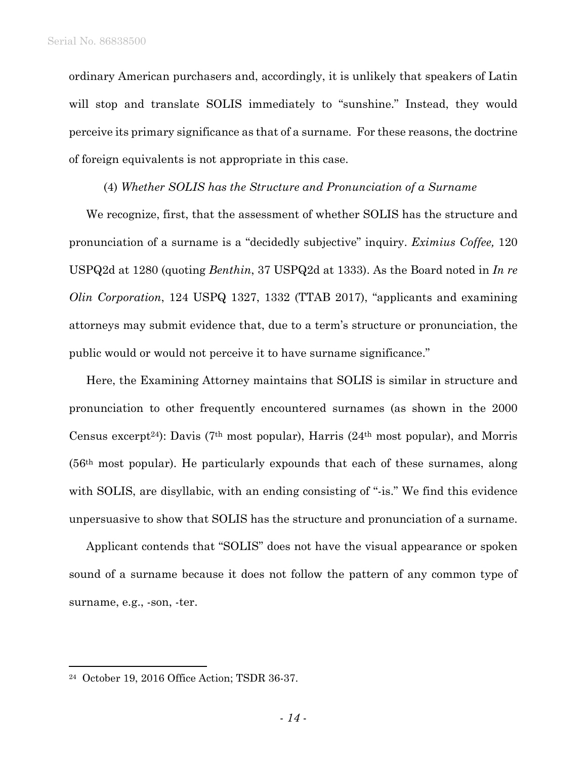ordinary American purchasers and, accordingly, it is unlikely that speakers of Latin will stop and translate SOLIS immediately to "sunshine." Instead, they would perceive its primary significance as that of a surname. For these reasons, the doctrine of foreign equivalents is not appropriate in this case.

#### (4) *Whether SOLIS has the Structure and Pronunciation of a Surname*

We recognize, first, that the assessment of whether SOLIS has the structure and pronunciation of a surname is a "decidedly subjective" inquiry. *Eximius Coffee,* 120 USPQ2d at 1280 (quoting *Benthin*, 37 USPQ2d at 1333). As the Board noted in *In re Olin Corporation*, 124 USPQ 1327, 1332 (TTAB 2017), "applicants and examining attorneys may submit evidence that, due to a term's structure or pronunciation, the public would or would not perceive it to have surname significance."

Here, the Examining Attorney maintains that SOLIS is similar in structure and pronunciation to other frequently encountered surnames (as shown in the 2000 Census excerpt<sup>24</sup>): Davis (7<sup>th</sup> most popular), Harris (24<sup>th</sup> most popular), and Morris (56th most popular). He particularly expounds that each of these surnames, along with SOLIS, are disyllabic, with an ending consisting of "-is." We find this evidence unpersuasive to show that SOLIS has the structure and pronunciation of a surname.

Applicant contends that "SOLIS" does not have the visual appearance or spoken sound of a surname because it does not follow the pattern of any common type of surname, e.g., -son, -ter.

<sup>24</sup> October 19, 2016 Office Action; TSDR 36-37.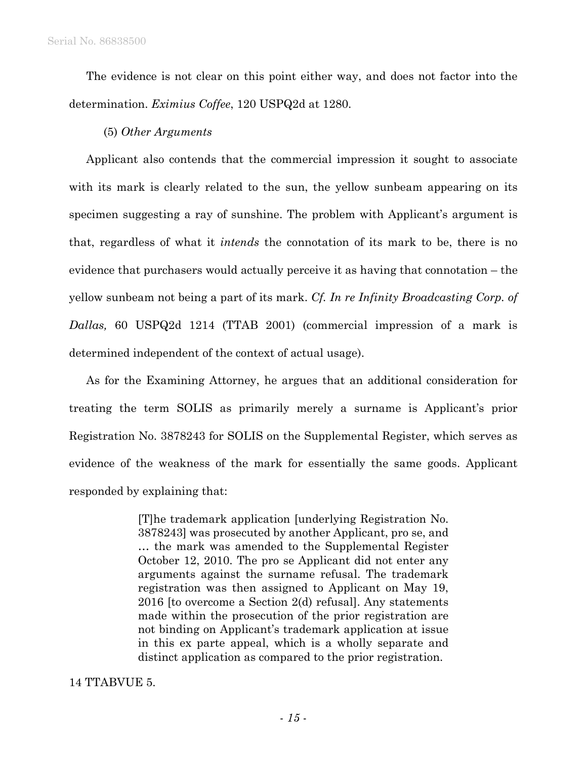The evidence is not clear on this point either way, and does not factor into the determination. *Eximius Coffee*, 120 USPQ2d at 1280.

## (5) *Other Arguments*

Applicant also contends that the commercial impression it sought to associate with its mark is clearly related to the sun, the yellow sunbeam appearing on its specimen suggesting a ray of sunshine. The problem with Applicant's argument is that, regardless of what it *intends* the connotation of its mark to be, there is no evidence that purchasers would actually perceive it as having that connotation – the yellow sunbeam not being a part of its mark. *Cf. In re Infinity Broadcasting Corp. of Dallas,* 60 USPQ2d 1214 (TTAB 2001) (commercial impression of a mark is determined independent of the context of actual usage).

As for the Examining Attorney, he argues that an additional consideration for treating the term SOLIS as primarily merely a surname is Applicant's prior Registration No. 3878243 for SOLIS on the Supplemental Register, which serves as evidence of the weakness of the mark for essentially the same goods. Applicant responded by explaining that:

> [T]he trademark application [underlying Registration No. 3878243] was prosecuted by another Applicant, pro se, and … the mark was amended to the Supplemental Register October 12, 2010. The pro se Applicant did not enter any arguments against the surname refusal. The trademark registration was then assigned to Applicant on May 19, 2016 [to overcome a Section 2(d) refusal]. Any statements made within the prosecution of the prior registration are not binding on Applicant's trademark application at issue in this ex parte appeal, which is a wholly separate and distinct application as compared to the prior registration.

### 14 TTABVUE 5.